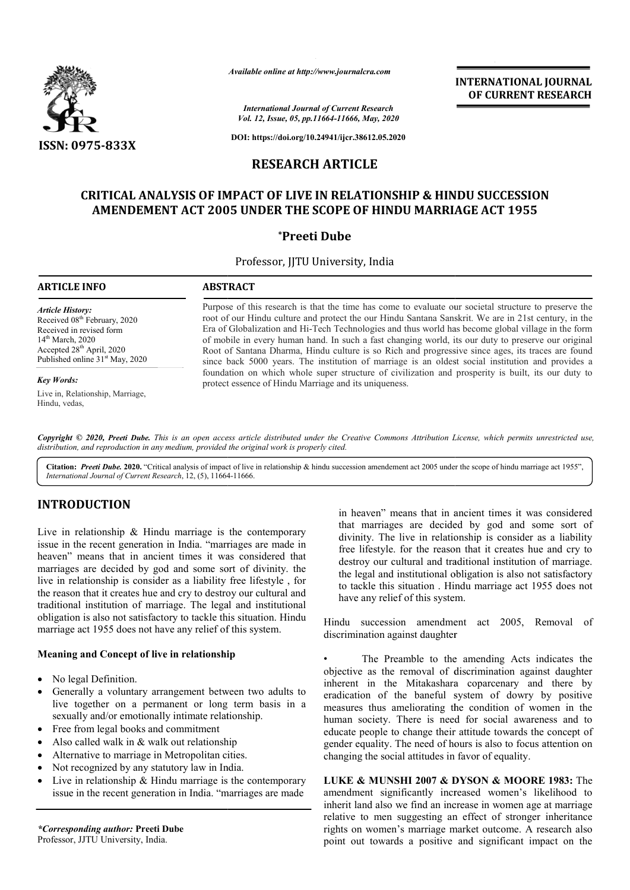

*Available online at http://www.journalcra.com*

*International Journal of Current Research Vol. 12, Issue, 05, pp.11664-11666, May, 2020*

**DOI: https://doi.org/10.24941/ijcr.38612.05.2020**

# **RESEARCH ARTICLE**

# CRITICAL ANALYSIS OF IMPACT OF LIVE IN RELATIONSHIP & HINDU SUCCESSION **AMENDEMENT ACT 2005 UNDER THE SCOPE OF HINDU MARRIAGE ACT 1955 HINDU MARRIAGE**

### **\*Preeti Dube**

Professor, JJTU University, India

### **ARTICLE INFO ABSTRACT**

*Article History:* Received 08<sup>th</sup> February, 2020 Received in revised form 14th March, 2020 Accepted 28<sup>th</sup> April, 2020 Published online 31<sup>st</sup> May, 2020

*Key Words:*

Live in, Relationship, Marriage, Hindu, vedas,

Purpose of this research is that the time has come to evaluate our societal structure to preserve the root of our Hindu culture and protect the our Hindu Santana Sanskrit. We are in 21st century, in the Era of Globalization and Hi Hi-Tech Technologies and thus world has become global village in the form of mobile in every human hand. In such a fa fast changing world, its our duty to preserve our original Root of Santana Dharma, Hindu culture is so Rich and progressive since ages, its traces are found since back 5000 years. The institution of marriage is an oldest social institution and provides a foundation on which whole super structure of civilization and prosperity is built, its our duty to protect essence of Hindu Marriage and its uniqueness. root of our Hindu culture and protect the our Hindu Santana Sanskrit. We are in 21st century, in the Era of Globalization and Hi-Tech Technologies and thus world has become global village in the form of mobile in every hum

Copyright © 2020, Preeti Dube. This is an open access article distributed under the Creative Commons Attribution License, which permits unrestricted use, *distribution, and reproduction in any medium, provided the original work is properly cited.*

Citation: Preeti Dube. 2020. "Critical analysis of impact of live in relationship & hindu succession amendement act 2005 under the scope of hindu marriage act 1955", *International Journal of Current Research*, 12, (5), 11664 11664-11666.

## **INTRODUCTION**

Live in relationship & Hindu marriage is the contemporary issue in the recent generation in India. "marriages are made in heaven" means that in ancient times it was considered that marriages are decided by god and some sort of divinity. the live in relationship is consider as a liability free lifestyle , for the reason that it creates hue and cry to destroy our cultural and traditional institution of marriage. The legal and institutional obligation is also not satisfactory to tackle this situation. Hindu marriage act 1955 does not have any relief of this system.

### **Meaning and Concept of live in relationship**

- No legal Definition.
- Generally a voluntary arrangement between two adults to live together on a permanent or long term basis in a sexually and/or emotionally intimate relationship.
- Free from legal books and commitment
- Also called walk in & walk out relationship
- Alternative to marriage in Metropolitan cities.
- Not recognized by any statutory law in India.
- Live in relationship & Hindu marriage is the contemporary issue in the recent generation in India. "marriages are made

*\*Corresponding author:* **Preeti Dube** Professor, JJTU University, India.

in heaven" means that in ancient times it was considered that marriages are decided by god and some sort of divinity. The live in relationship is consider as a liability free lifestyle. for the reason that it creates hue and cry to destroy our cultural and traditional institution of marriage. the legal and institutional obligation is also not satisfactory to tackle this situation . Hindu marriage act 1955 does not have any relief of this system. that marriages are decided by god and some sort of divinity. The live in relationship is consider as a liability free lifestyle. for the reason that it creates hue and cry to destroy our cultural and traditional institutio

**INTERNATIONAL JOURNAL OF CURRENT RESEARCH**

Hindu succession amendment act 2005, Removal of discrimination against daughter

The Preamble to the amending Acts indicates the objective as the removal of discrimination against daughter • The Preamble to the amending Acts indicates the objective as the removal of discrimination against daughter inherent in the Mitakashara coparcenary and there by eradication of the baneful system of dowry by positive measures thus ameliorating the condition of women in the human society. There is need for social awareness and to educate people to change their attitude towards the concept of gender equality. The need of hours is also to focus attention on changing the social attitudes in favor of equality. is ameliorating the condition of women in<br>ty. There is need for social awareness and<br>le to change their attitude towards the concep<br>ty. The need of hours is also to focus attention<br>social attitudes in favor of equality. men inheritance A a the 

**LUKE & MUNSHI 2007 & DYSON & MOORE 1983:** The amendment significantly increased women's likelihood to amendment significantly increased women's likelihood to inherit land also we find an increase in women age at marriage relative to men suggesting an effect of stronger inheritance rights on women's marriage market outcome. A research also point out towards a positive and significant impact on the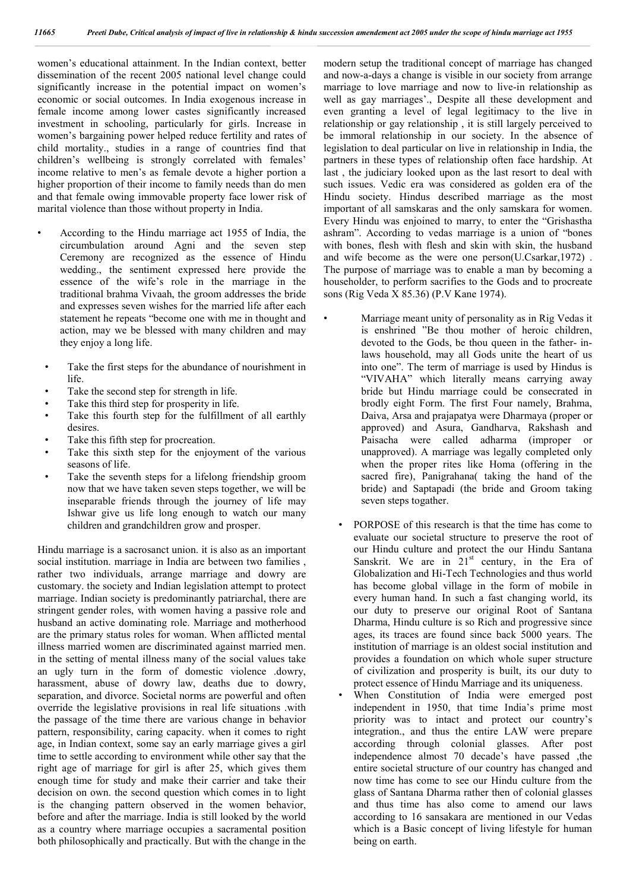women's educational attainment. In the Indian context, better dissemination of the recent 2005 national level change could significantly increase in the potential impact on women's economic or social outcomes. In India exogenous increase in female income among lower castes significantly increased investment in schooling, particularly for girls. Increase in women's bargaining power helped reduce fertility and rates of child mortality., studies in a range of countries find that children's wellbeing is strongly correlated with females' income relative to men's as female devote a higher portion a higher proportion of their income to family needs than do men and that female owing immovable property face lower risk of marital violence than those without property in India.

- According to the Hindu marriage act 1955 of India, the circumbulation around Agni and the seven step Ceremony are recognized as the essence of Hindu wedding., the sentiment expressed here provide the essence of the wife's role in the marriage in the traditional brahma Vivaah, the groom addresses the bride and expresses seven wishes for the married life after each statement he repeats "become one with me in thought and action, may we be blessed with many children and may they enjoy a long life.
- Take the first steps for the abundance of nourishment in life.
- Take the second step for strength in life.
- Take this third step for prosperity in life.
- Take this fourth step for the fulfillment of all earthly desires.
- Take this fifth step for procreation.
- Take this sixth step for the enjoyment of the various seasons of life.
- Take the seventh steps for a lifelong friendship groom now that we have taken seven steps together, we will be inseparable friends through the journey of life may Ishwar give us life long enough to watch our many children and grandchildren grow and prosper.

Hindu marriage is a sacrosanct union. it is also as an important social institution. marriage in India are between two families , rather two individuals, arrange marriage and dowry are customary. the society and Indian legislation attempt to protect marriage. Indian society is predominantly patriarchal, there are stringent gender roles, with women having a passive role and husband an active dominating role. Marriage and motherhood are the primary status roles for woman. When afflicted mental illness married women are discriminated against married men. in the setting of mental illness many of the social values take an ugly turn in the form of domestic violence .dowry, harassment, abuse of dowry law, deaths due to dowry, separation, and divorce. Societal norms are powerful and often override the legislative provisions in real life situations .with the passage of the time there are various change in behavior pattern, responsibility, caring capacity. when it comes to right age, in Indian context, some say an early marriage gives a girl time to settle according to environment while other say that the right age of marriage for girl is after 25, which gives them enough time for study and make their carrier and take their decision on own. the second question which comes in to light is the changing pattern observed in the women behavior, before and after the marriage. India is still looked by the world as a country where marriage occupies a sacramental position both philosophically and practically. But with the change in the

modern setup the traditional concept of marriage has changed and now-a-days a change is visible in our society from arrange marriage to love marriage and now to live-in relationship as well as gay marriages'., Despite all these development and even granting a level of legal legitimacy to the live in relationship or gay relationship , it is still largely perceived to be immoral relationship in our society. In the absence of legislation to deal particular on live in relationship in India, the partners in these types of relationship often face hardship. At last , the judiciary looked upon as the last resort to deal with such issues. Vedic era was considered as golden era of the Hindu society. Hindus described marriage as the most important of all samskaras and the only samskara for women. Every Hindu was enjoined to marry, to enter the "Grishastha ashram". According to vedas marriage is a union of "bones with bones, flesh with flesh and skin with skin, the husband and wife become as the were one person(U.Csarkar,1972) . The purpose of marriage was to enable a man by becoming a householder, to perform sacrifies to the Gods and to procreate sons (Rig Veda X 85.36) (P.V Kane 1974).

- Marriage meant unity of personality as in Rig Vedas it is enshrined "Be thou mother of heroic children, devoted to the Gods, be thou queen in the father- inlaws household, may all Gods unite the heart of us into one". The term of marriage is used by Hindus is "VIVAHA" which literally means carrying away bride but Hindu marriage could be consecrated in brodly eight Form. The first Four namely, Brahma, Daiva, Arsa and prajapatya were Dharmaya (proper or approved) and Asura, Gandharva, Rakshash and Paisacha were called adharma (improper or unapproved). A marriage was legally completed only when the proper rites like Homa (offering in the sacred fire), Panigrahana( taking the hand of the bride) and Saptapadi (the bride and Groom taking seven steps togather.
- PORPOSE of this research is that the time has come to evaluate our societal structure to preserve the root of our Hindu culture and protect the our Hindu Santana Sanskrit. We are in  $21<sup>st</sup>$  century, in the Era of Globalization and Hi-Tech Technologies and thus world has become global village in the form of mobile in every human hand. In such a fast changing world, its our duty to preserve our original Root of Santana Dharma, Hindu culture is so Rich and progressive since ages, its traces are found since back 5000 years. The institution of marriage is an oldest social institution and provides a foundation on which whole super structure of civilization and prosperity is built, its our duty to protect essence of Hindu Marriage and its uniqueness.
- When Constitution of India were emerged post independent in 1950, that time India's prime most priority was to intact and protect our country's integration., and thus the entire LAW were prepare according through colonial glasses. After post independence almost 70 decade's have passed ,the entire societal structure of our country has changed and now time has come to see our Hindu culture from the glass of Santana Dharma rather then of colonial glasses and thus time has also come to amend our laws according to 16 sansakara are mentioned in our Vedas which is a Basic concept of living lifestyle for human being on earth.